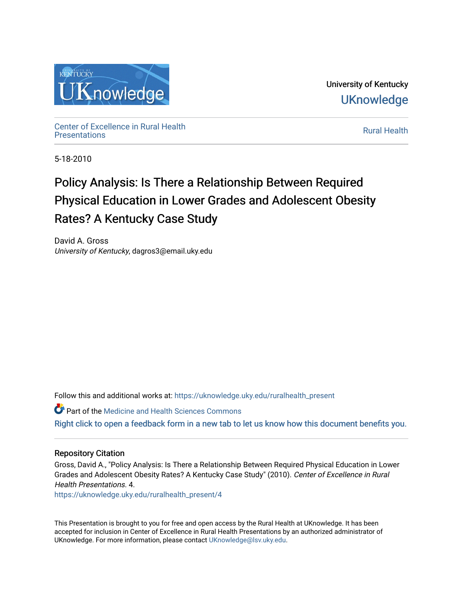

University of Kentucky **UKnowledge** 

Center of Excellence in Rural Health<br>Presentations Definer of Excellence in Kural Health<br>[Presentations](https://uknowledge.uky.edu/ruralhealth_present) **Rural Health** 

5-18-2010

#### Policy Analysis: Is There a Relationship Between Required Physical Education in Lower Grades and Adolescent Obesity Rates? A Kentucky Case Study

David A. Gross University of Kentucky, dagros3@email.uky.edu

Follow this and additional works at: [https://uknowledge.uky.edu/ruralhealth\\_present](https://uknowledge.uky.edu/ruralhealth_present?utm_source=uknowledge.uky.edu%2Fruralhealth_present%2F4&utm_medium=PDF&utm_campaign=PDFCoverPages) 

Part of the [Medicine and Health Sciences Commons](http://network.bepress.com/hgg/discipline/648?utm_source=uknowledge.uky.edu%2Fruralhealth_present%2F4&utm_medium=PDF&utm_campaign=PDFCoverPages)  [Right click to open a feedback form in a new tab to let us know how this document benefits you.](https://uky.az1.qualtrics.com/jfe/form/SV_9mq8fx2GnONRfz7)

#### Repository Citation

Gross, David A., "Policy Analysis: Is There a Relationship Between Required Physical Education in Lower Grades and Adolescent Obesity Rates? A Kentucky Case Study" (2010). Center of Excellence in Rural Health Presentations. 4.

[https://uknowledge.uky.edu/ruralhealth\\_present/4](https://uknowledge.uky.edu/ruralhealth_present/4?utm_source=uknowledge.uky.edu%2Fruralhealth_present%2F4&utm_medium=PDF&utm_campaign=PDFCoverPages) 

This Presentation is brought to you for free and open access by the Rural Health at UKnowledge. It has been accepted for inclusion in Center of Excellence in Rural Health Presentations by an authorized administrator of UKnowledge. For more information, please contact [UKnowledge@lsv.uky.edu](mailto:UKnowledge@lsv.uky.edu).